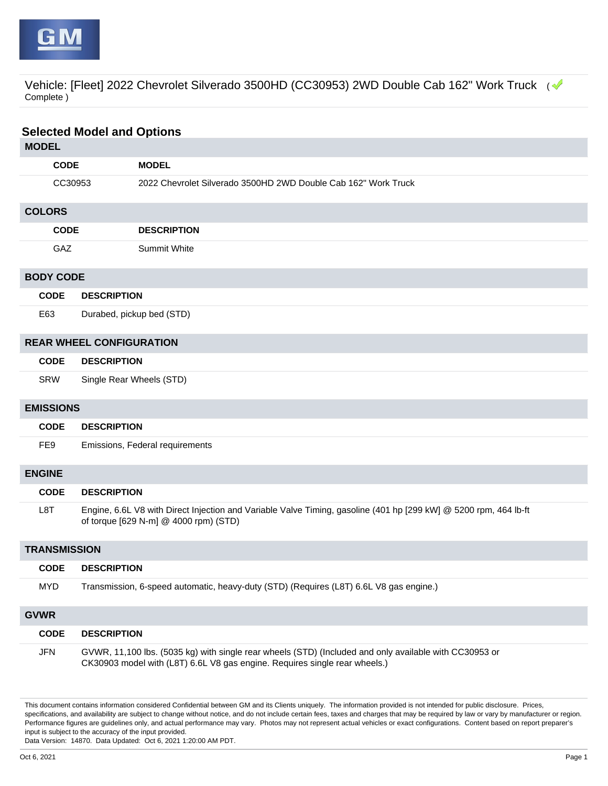

Vehicle: [Fleet] 2022 Chevrolet Silverado 3500HD (CC30953) 2WD Double Cab 162" Work Truck (< Complete )

| <b>Selected Model and Options</b> |                                 |                                                                                                                                                                                      |  |  |  |
|-----------------------------------|---------------------------------|--------------------------------------------------------------------------------------------------------------------------------------------------------------------------------------|--|--|--|
| <b>MODEL</b>                      |                                 |                                                                                                                                                                                      |  |  |  |
| <b>CODE</b>                       |                                 | <b>MODEL</b>                                                                                                                                                                         |  |  |  |
| CC30953                           |                                 | 2022 Chevrolet Silverado 3500HD 2WD Double Cab 162" Work Truck                                                                                                                       |  |  |  |
| <b>COLORS</b>                     |                                 |                                                                                                                                                                                      |  |  |  |
| <b>CODE</b>                       |                                 | <b>DESCRIPTION</b>                                                                                                                                                                   |  |  |  |
| GAZ                               |                                 | <b>Summit White</b>                                                                                                                                                                  |  |  |  |
| <b>BODY CODE</b>                  |                                 |                                                                                                                                                                                      |  |  |  |
| <b>CODE</b>                       | <b>DESCRIPTION</b>              |                                                                                                                                                                                      |  |  |  |
| E63                               | Durabed, pickup bed (STD)       |                                                                                                                                                                                      |  |  |  |
|                                   | <b>REAR WHEEL CONFIGURATION</b> |                                                                                                                                                                                      |  |  |  |
| <b>CODE</b>                       | <b>DESCRIPTION</b>              |                                                                                                                                                                                      |  |  |  |
| <b>SRW</b>                        | Single Rear Wheels (STD)        |                                                                                                                                                                                      |  |  |  |
| <b>EMISSIONS</b>                  |                                 |                                                                                                                                                                                      |  |  |  |
| <b>CODE</b>                       | <b>DESCRIPTION</b>              |                                                                                                                                                                                      |  |  |  |
| FE9                               |                                 | Emissions, Federal requirements                                                                                                                                                      |  |  |  |
| <b>ENGINE</b>                     |                                 |                                                                                                                                                                                      |  |  |  |
| <b>CODE</b>                       | <b>DESCRIPTION</b>              |                                                                                                                                                                                      |  |  |  |
| L8T                               |                                 | Engine, 6.6L V8 with Direct Injection and Variable Valve Timing, gasoline (401 hp [299 kW] @ 5200 rpm, 464 lb-ft<br>of torque [629 N-m] @ 4000 rpm) (STD)                            |  |  |  |
|                                   | <b>TRANSMISSION</b>             |                                                                                                                                                                                      |  |  |  |
| <b>CODE</b>                       | <b>DESCRIPTION</b>              |                                                                                                                                                                                      |  |  |  |
| <b>MYD</b>                        |                                 | Transmission, 6-speed automatic, heavy-duty (STD) (Requires (L8T) 6.6L V8 gas engine.)                                                                                               |  |  |  |
| <b>GVWR</b>                       |                                 |                                                                                                                                                                                      |  |  |  |
| <b>CODE</b>                       | <b>DESCRIPTION</b>              |                                                                                                                                                                                      |  |  |  |
| <b>JFN</b>                        |                                 | GVWR, 11,100 lbs. (5035 kg) with single rear wheels (STD) (Included and only available with CC30953 or<br>CK30903 model with (L8T) 6.6L V8 gas engine. Requires single rear wheels.) |  |  |  |

This document contains information considered Confidential between GM and its Clients uniquely. The information provided is not intended for public disclosure. Prices, specifications, and availability are subject to change without notice, and do not include certain fees, taxes and charges that may be required by law or vary by manufacturer or region. Performance figures are guidelines only, and actual performance may vary. Photos may not represent actual vehicles or exact configurations. Content based on report preparer's input is subject to the accuracy of the input provided.

Data Version: 14870. Data Updated: Oct 6, 2021 1:20:00 AM PDT.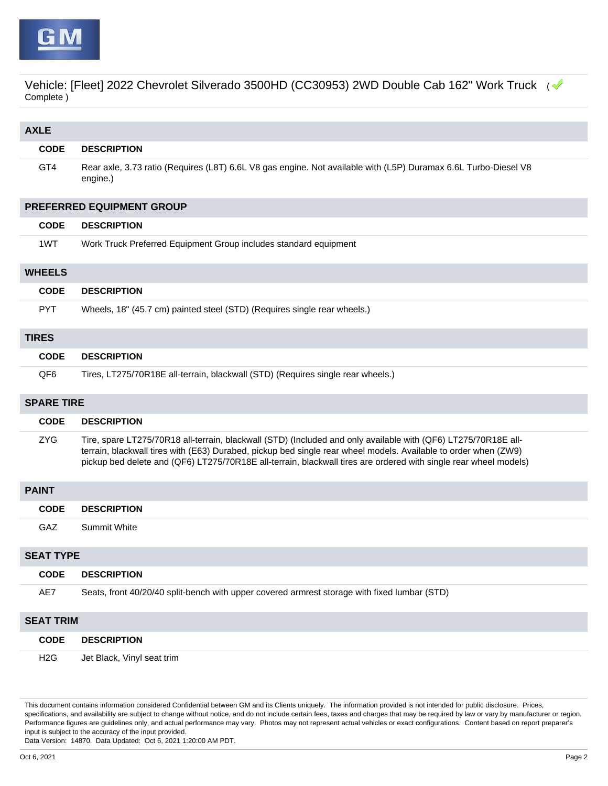

Vehicle: [Fleet] 2022 Chevrolet Silverado 3500HD (CC30953) 2WD Double Cab 162" Work Truck ( Complete )

| <b>AXLE</b>      |                                                                                                                                                                                                                                                                                                                                                       |  |  |  |  |
|------------------|-------------------------------------------------------------------------------------------------------------------------------------------------------------------------------------------------------------------------------------------------------------------------------------------------------------------------------------------------------|--|--|--|--|
| <b>CODE</b>      | <b>DESCRIPTION</b>                                                                                                                                                                                                                                                                                                                                    |  |  |  |  |
| GT4              | Rear axle, 3.73 ratio (Requires (L8T) 6.6L V8 gas engine. Not available with (L5P) Duramax 6.6L Turbo-Diesel V8<br>engine.)                                                                                                                                                                                                                           |  |  |  |  |
|                  | PREFERRED EQUIPMENT GROUP                                                                                                                                                                                                                                                                                                                             |  |  |  |  |
| <b>CODE</b>      | <b>DESCRIPTION</b>                                                                                                                                                                                                                                                                                                                                    |  |  |  |  |
| 1WT              | Work Truck Preferred Equipment Group includes standard equipment                                                                                                                                                                                                                                                                                      |  |  |  |  |
| <b>WHEELS</b>    |                                                                                                                                                                                                                                                                                                                                                       |  |  |  |  |
| <b>CODE</b>      | <b>DESCRIPTION</b>                                                                                                                                                                                                                                                                                                                                    |  |  |  |  |
| <b>PYT</b>       | Wheels, 18" (45.7 cm) painted steel (STD) (Requires single rear wheels.)                                                                                                                                                                                                                                                                              |  |  |  |  |
| <b>TIRES</b>     |                                                                                                                                                                                                                                                                                                                                                       |  |  |  |  |
| <b>CODE</b>      | <b>DESCRIPTION</b>                                                                                                                                                                                                                                                                                                                                    |  |  |  |  |
| QF <sub>6</sub>  | Tires, LT275/70R18E all-terrain, blackwall (STD) (Requires single rear wheels.)                                                                                                                                                                                                                                                                       |  |  |  |  |
|                  | <b>SPARE TIRE</b>                                                                                                                                                                                                                                                                                                                                     |  |  |  |  |
| <b>CODE</b>      | <b>DESCRIPTION</b>                                                                                                                                                                                                                                                                                                                                    |  |  |  |  |
| <b>ZYG</b>       | Tire, spare LT275/70R18 all-terrain, blackwall (STD) (Included and only available with (QF6) LT275/70R18E all-<br>terrain, blackwall tires with (E63) Durabed, pickup bed single rear wheel models. Available to order when (ZW9)<br>pickup bed delete and (QF6) LT275/70R18E all-terrain, blackwall tires are ordered with single rear wheel models) |  |  |  |  |
| <b>PAINT</b>     |                                                                                                                                                                                                                                                                                                                                                       |  |  |  |  |
| <b>CODE</b>      | <b>DESCRIPTION</b>                                                                                                                                                                                                                                                                                                                                    |  |  |  |  |
| <b>GAZ</b>       | <b>Summit White</b>                                                                                                                                                                                                                                                                                                                                   |  |  |  |  |
|                  | <b>SEAT TYPE</b>                                                                                                                                                                                                                                                                                                                                      |  |  |  |  |
| <b>CODE</b>      | <b>DESCRIPTION</b>                                                                                                                                                                                                                                                                                                                                    |  |  |  |  |
| AE7              | Seats, front 40/20/40 split-bench with upper covered armrest storage with fixed lumbar (STD)                                                                                                                                                                                                                                                          |  |  |  |  |
|                  | <b>SEAT TRIM</b>                                                                                                                                                                                                                                                                                                                                      |  |  |  |  |
| <b>CODE</b>      | <b>DESCRIPTION</b>                                                                                                                                                                                                                                                                                                                                    |  |  |  |  |
| H <sub>2</sub> G | Jet Black, Vinyl seat trim                                                                                                                                                                                                                                                                                                                            |  |  |  |  |

This document contains information considered Confidential between GM and its Clients uniquely. The information provided is not intended for public disclosure. Prices, specifications, and availability are subject to change without notice, and do not include certain fees, taxes and charges that may be required by law or vary by manufacturer or region. Performance figures are guidelines only, and actual performance may vary. Photos may not represent actual vehicles or exact configurations. Content based on report preparer's input is subject to the accuracy of the input provided.

Data Version: 14870. Data Updated: Oct 6, 2021 1:20:00 AM PDT.